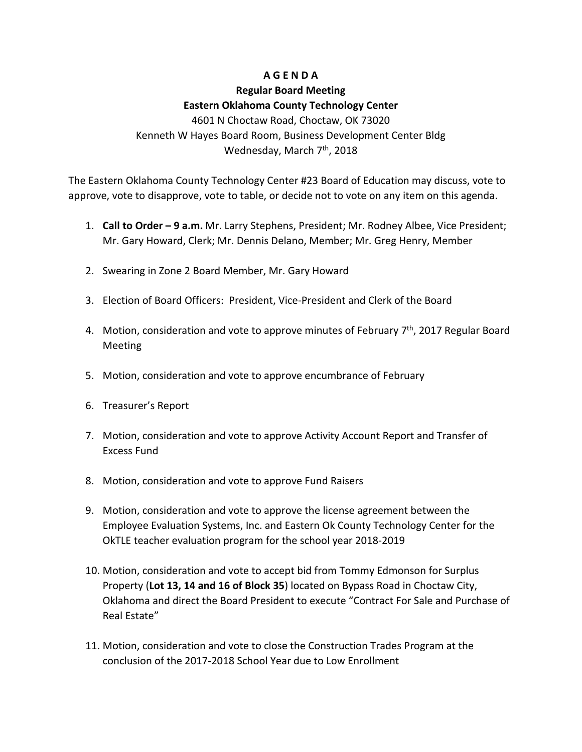## **A G E N D A**

## **Regular Board Meeting Eastern Oklahoma County Technology Center**

4601 N Choctaw Road, Choctaw, OK 73020 Kenneth W Hayes Board Room, Business Development Center Bldg Wednesday, March 7<sup>th</sup>, 2018

The Eastern Oklahoma County Technology Center #23 Board of Education may discuss, vote to approve, vote to disapprove, vote to table, or decide not to vote on any item on this agenda.

- 1. **Call to Order – 9 a.m.** Mr. Larry Stephens, President; Mr. Rodney Albee, Vice President; Mr. Gary Howard, Clerk; Mr. Dennis Delano, Member; Mr. Greg Henry, Member
- 2. Swearing in Zone 2 Board Member, Mr. Gary Howard
- 3. Election of Board Officers: President, Vice-President and Clerk of the Board
- 4. Motion, consideration and vote to approve minutes of February  $7<sup>th</sup>$ , 2017 Regular Board Meeting
- 5. Motion, consideration and vote to approve encumbrance of February
- 6. Treasurer's Report
- 7. Motion, consideration and vote to approve Activity Account Report and Transfer of Excess Fund
- 8. Motion, consideration and vote to approve Fund Raisers
- 9. Motion, consideration and vote to approve the license agreement between the Employee Evaluation Systems, Inc. and Eastern Ok County Technology Center for the OkTLE teacher evaluation program for the school year 2018-2019
- 10. Motion, consideration and vote to accept bid from Tommy Edmonson for Surplus Property (**Lot 13, 14 and 16 of Block 35**) located on Bypass Road in Choctaw City, Oklahoma and direct the Board President to execute "Contract For Sale and Purchase of Real Estate"
- 11. Motion, consideration and vote to close the Construction Trades Program at the conclusion of the 2017-2018 School Year due to Low Enrollment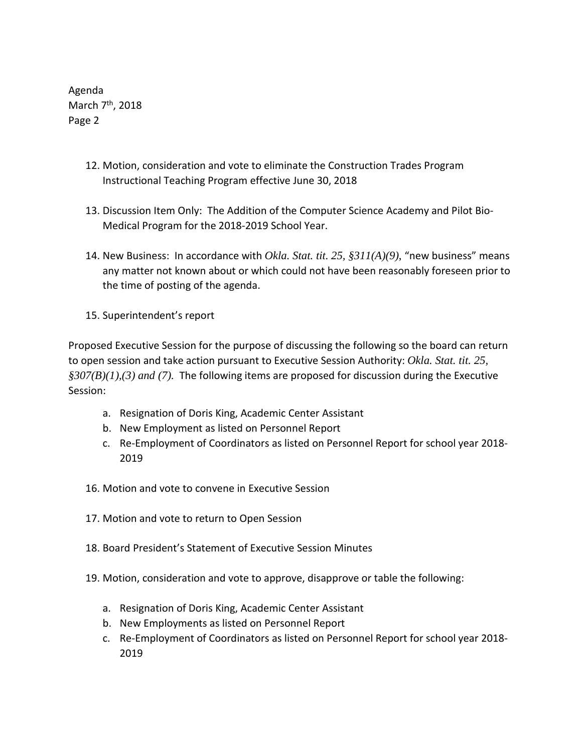Agenda March 7<sup>th</sup>, 2018 Page 2

- 12. Motion, consideration and vote to eliminate the Construction Trades Program Instructional Teaching Program effective June 30, 2018
- 13. Discussion Item Only: The Addition of the Computer Science Academy and Pilot Bio-Medical Program for the 2018-2019 School Year.
- 14. New Business: In accordance with *Okla. Stat. tit. 25, §311(A)(9)*, "new business" means any matter not known about or which could not have been reasonably foreseen prior to the time of posting of the agenda.
- 15. Superintendent's report

Proposed Executive Session for the purpose of discussing the following so the board can return to open session and take action pursuant to Executive Session Authority: *Okla. Stat. tit. 25, §307(B)(1),(3) and (7).* The following items are proposed for discussion during the Executive Session:

- a. Resignation of Doris King, Academic Center Assistant
- b. New Employment as listed on Personnel Report
- c. Re-Employment of Coordinators as listed on Personnel Report for school year 2018- 2019
- 16. Motion and vote to convene in Executive Session
- 17. Motion and vote to return to Open Session
- 18. Board President's Statement of Executive Session Minutes
- 19. Motion, consideration and vote to approve, disapprove or table the following:
	- a. Resignation of Doris King, Academic Center Assistant
	- b. New Employments as listed on Personnel Report
	- c. Re-Employment of Coordinators as listed on Personnel Report for school year 2018- 2019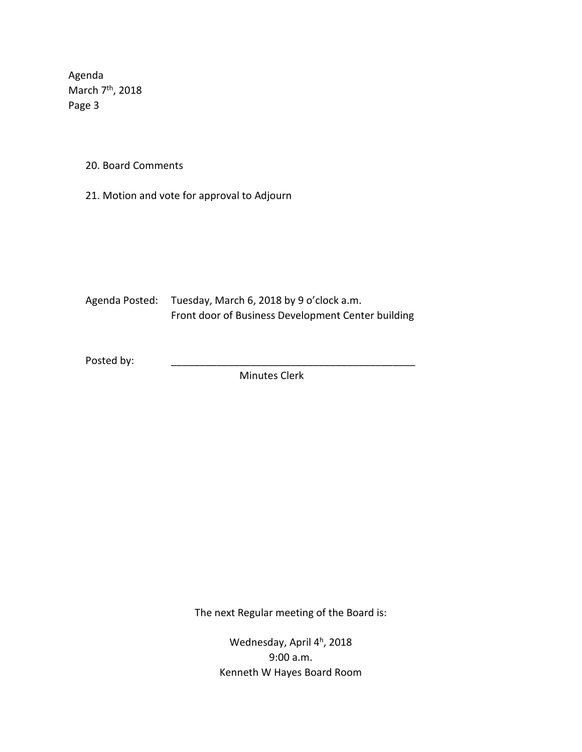Agenda March 7<sup>th</sup>, 2018 Page 3

20. Board Comments

21. Motion and vote for approval to Adjourn

Agenda Posted: Tuesday, March 6, 2018 by 9 o'clock a.m. Front door of Business Development Center building

Posted by:

Minutes Clerk

The next Regular meeting of the Board is:

Wednesday, April 4<sup>h</sup>, 2018 9:00 a.m. Kenneth W Hayes Board Room